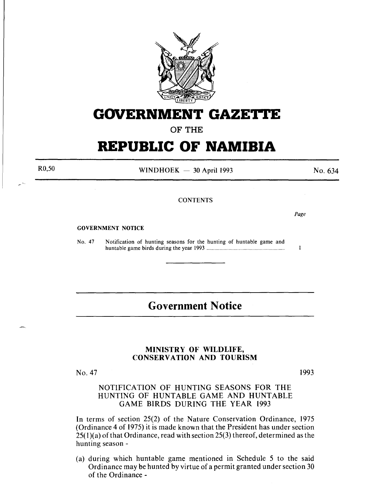

## **GOVERNMENT GAZETTE**

OF THE

# **REPUBLIC OF NAMIBIA**

R0,50

WINDHOEK  $-$  30 April 1993

No. 634

*Page* 

 $\mathbf{I}$ 

### **CONTENTS**

GOVERNMENT NOTICE

No. 47 Notification of hunting seasons for the hunting of huntable game and huntable game birds during the year 1993 ............................................................... .

## **Government Notice**

#### MINISTRY OF WILDLIFE, CONSERVATION AND TOURISM

No. 47

1993

### NOTIFICATION OF HUNTING SEASONS FOR THE HUNTING OF HUNTABLE GAME AND HUNTABLE GAME BIRDS DURING THE YEAR 1993

In terms of section 25(2) of the Nature Conservation Ordinance, 1975 (Ordinance 4 of 1975) it is made known that the President has under section  $25(1)(a)$  of that Ordinance, read with section 25(3) thereof, determined as the hunting season -

(a) during which huntable game mentioned in Schedule 5 to the said Ordinance may be hunted by virtue of a permit granted under section 30 of the Ordinance -